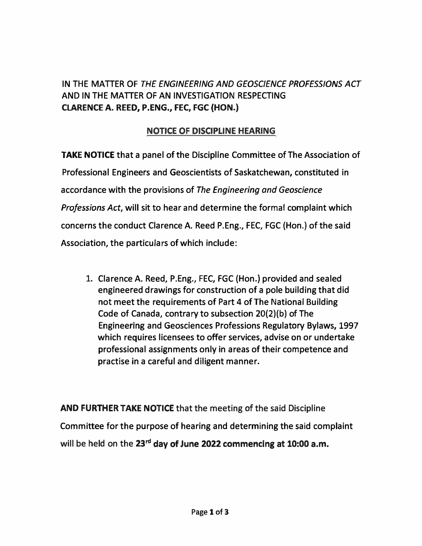## **IN THE MATTER OF** *THE ENGINEERING AND GEOSCIENCE PROFESSIONS ACT* **AND IN THE MATTER OF AN INVESTIGATION RESPECTING CLARENCE A. REED, P.ENG., FEC, FGC (HON.)**

## **NOTICE OF DISCIPLINE HEARING**

**TAKE NOTICE that a panel of the Discipline Committee of The Association of Professional Engineers and Geoscientists of Saskatchewan, constituted in accordance with the provisions of** *The Engineering and Geoscience Professions Act,* **will sit to hear and determine the formal complaint which concerns the conduct Clarence A. Reed P.Eng., FEC, FGC (Hon.) of the said Association, the particulars of which include:** 

**1. Clarence A. Reed, P.Eng., FEC, FGC (Hon.) provided and sealed engineered drawings for construction of a pole building that did not meet the requirements of Part 4 of The National Building Code of Canada, contrary to subsection 20(2)(b) of The Engineering and Geosciences Professions Regulatory Bylaws, 1997 which requires licensees to offer services, advise on or undertake professional assignments only in areas of their competence and practise in a careful and diligent manner.**

**AND FURTHER TAKE NOTICE that the meeting of the said Discipline Committee for the purpose of hearing and determining the said complaint will be held on the 23rd day of June 2022 commencing at 10:00 a.m.**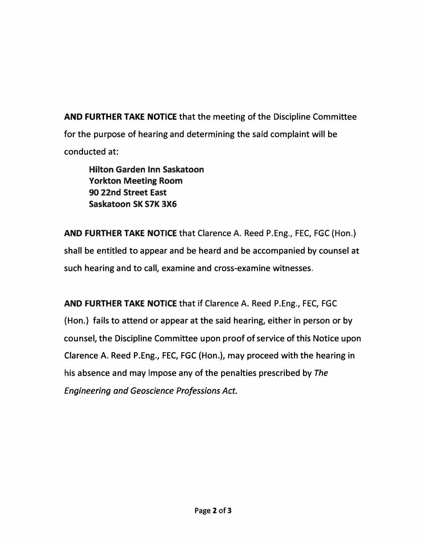**AND FURTHER TAKE NOTICE that the meeting of the Discipline Committee**  for the purpose of hearing and determining the said complaint will be **conducted at:** 

**Hilton Garden Inn Saskatoon Yorkton Meeting Room 90 22nd Street East Saskatoon SK S7K 3X6** 

**AND FURTHER TAKE NOTICE that Clarence A. Reed P.Eng., FEC, FGC {Hon.) shall be entitled to appear and be heard and be accompanied by counsel at such hearing and to call, examine and cross-examine witnesses.** 

**AND FURTHER TAKE NOTICE that if Clarence A. Reed P.Eng., FEC, FGC {Hon.) fails to attend or appear at the said hearing, either in person or by counsel, the Discipline Committee upon proof of service of this Notice upon Clarence A. Reed P.Eng., FEC, FGC (Hon.), may proceed with the hearing in his absence and may impose any of the penalties prescribed by** *The Engineering and Geoscience Professions Act.*